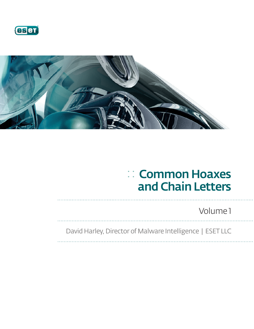



# :: Common Hoaxes and Chain Letters

### Volume 1

David Harley, Director of Malware Intelligence | ESET LLC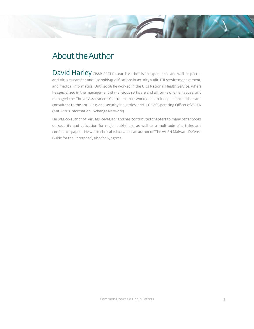### About the Author

David Harley CISSP, ESET Research Author, is an experienced and well-respected anti-virus researcher, and also holds qualifications in security audit, ITIL service management, and medical informatics. Until 2006 he worked in the UK's National Health Service, where he specialized in the management of malicious software and all forms of email abuse, and managed the Threat Assessment Centre. He has worked as an independent author and consultant to the anti-virus and security industries, and is Chief Operating Officer of AVIEN (Anti-Virus Information Exchange Network).

He was co-author of "Viruses Revealed" and has contributed chapters to many other books on security and education for major publishers, as well as a multitude of articles and conference papers. He was technical editor and lead author of "The AVIEN Malware Defense Guide for the Enterprise", also for Syngress.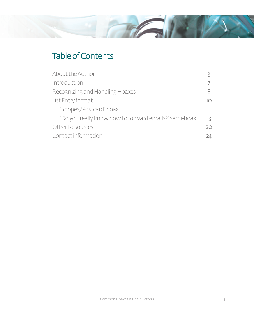## Table of Contents

| About the Author                                      |    |
|-------------------------------------------------------|----|
| Introduction                                          |    |
| Recognizing and Handling Hoaxes                       | Χ  |
| List Entry format                                     | 10 |
| "Snopes/Postcard" hoax                                | דר |
| "Do you really know how to forward emails?" semi-hoax | 13 |
| <b>Other Resources</b>                                | 2O |
| Contact information                                   | 24 |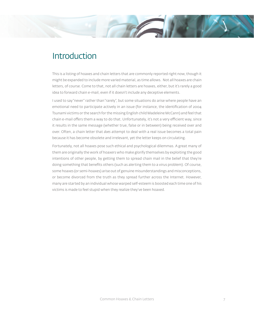#### **Introduction**

This is a listing of hoaxes and chain letters that are commonly reported right now, though it might be expanded to include more varied material, as time allows. Not all hoaxes are chain letters, of course. Come to that, not all chain letters are hoaxes, either, but it's rarely a good idea to forward chain e-mail, even if it doesn't include any deceptive elements.

I used to say "never" rather than "rarely", but some situations do arise where people have an emotional need to participate actively in an issue (for instance, the identification of 2004 Tsunami victims or the search for the missing English child Madeleine McCann) and feel that chain e-mail offers them a way to do that. Unfortunately, it's not a very efficient way, since it results in the same message (whether true, false or in between) being received over and over. Often, a chain letter that *does* attempt to deal with a real issue becomes a total pain because it has become obsolete and irrelevant, yet the letter keeps on circulating.

Fortunately, not all hoaxes pose such ethical and psychological dilemmas. A great many of them are originally the work of hoaxers who make glorify themselves by exploiting the good intentions of other people, by getting them to spread chain mail in the belief that they're doing something that benefits others (such as alerting them to a virus problem). Of course, some hoaxes (or semi-hoaxes) arise out of genuine misunderstandings and misconceptions, or become divorced from the truth as they spread further across the Internet. However, many are started by an individual whose warped self-esteem is boosted each time one of his victims is made to feel stupid when they realize they've been hoaxed.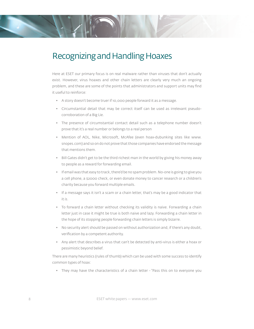### Recognizing and Handling Hoaxes

Here at ESET our primary focus is on real malware rather than viruses that don't actually exist. However, virus hoaxes and other chain letters are clearly very much an ongoing problem, and these are some of the points that administrators and support units may find it useful to reinforce:

- A story doesn't become truer if 10,000 people forward it as a message.
- Circumstantial detail that may be correct itself can be used as irrelevant pseudocorroboration of a Big Lie.
- The presence of circumstantial contact detail such as a telephone number doesn't prove that it's a real number or belongs to a real person
- Mention of AOL, Nike, Microsoft, McAfee (even hoax-dubunking sites like www. snopes.com) and so on do not prove that those companies have endorsed the message that mentions them.
- Bill Gates didn't get to be the third richest man in the world by giving his money away to people as a reward for forwarding email.
- If email was that easy to track, there'd be no spam problem. No-one is going to give you a cell phone, a \$2000 check, or even donate money to cancer research or a children's charity because you forward multiple emails.
- If a message says it isn't a scam or a chain letter, that's may be a good indicator that it *is*.
- To forward a chain letter without checking its validity is naive. Forwarding a chain letter just in case it might be true is both naive and lazy. Forwarding a chain letter in the hope of its stopping people forwarding chain letters is simply bizarre.
- No security alert should be passed on without authorization and, if there's any doubt, verification by a competent authority.
- Any alert that describes a virus that can't be detected by anti-virus is either a hoax or pessimistic beyond belief.

There are many heuristics (rules of thumb) which can be used with some success to identify common types of hoax:

• They may have the characteristics of a chain letter - "Pass this on to everyone you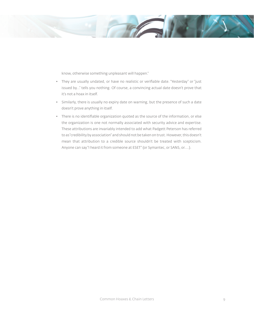

know, otherwise something unpleasant will happen."

- They are usually undated, or have no realistic or verifiable date. "Yesterday" or "just issued by..." tells you nothing. Of course, a convincing actual date doesn't prove that it's not a hoax in itself.
- Similarly, there is usually no expiry date on warning, but the presence of such a date doesn't prove anything in itself.
- There is no identifiable organization quoted as the source of the information, or else the organization is one not normally associated with security advice and expertise. These attributions are invariably intended to add what Padgett Peterson has referred to as "credibility by association" and should not be taken on trust. However, this doesn't mean that attribution to a credible source shouldn't be treated with scepticism. Anyone can say "I heard it from someone at ESET" (or Symantec, or SANS, or....).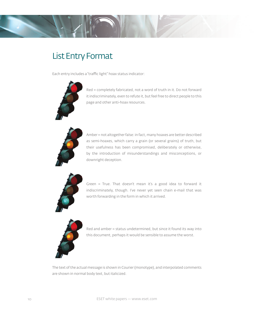## List Entry Format

Each entry includes a "traffic light" hoax status indicator:



Red = completely fabricated, not a word of truth in it. Do not forward it indiscriminately, even to refute it, but feel free to direct people to this page and other anti-hoax resources.



Amber = not altogether false: in fact, many hoaxes are better described as semi-hoaxes, which carry a grain (or several grains) of truth, but their usefulness has been compromised, deliberately or otherwise, by the introduction of misunderstandings and misconceptions, or downright deception.



Green = True. That doesn't mean it's a good idea to forward it indiscriminately, though. I've never yet seen chain e-mail that was worth forwarding in the form in which it arrived.



Red and amber = status undetermined, but since it found its way into this document, perhaps it would be sensible to assume the worst.

The text of the actual message is shown in Courier (monotype), and interpolated comments are shown in normal body text, but italicized.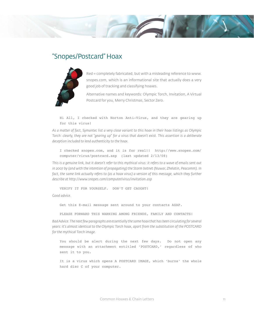#### "Snopes/Postcard" Hoax



Red = completely fabricated, but with a misleading reference to www. snopes.com, which is an informational site that actually does a very good job of tracking and classifying hoaxes.

Alternative names and keywords: Olympic Torch, Invitation, A Virtual Postcard for you, Merry Christmas, Sector Zero.

Hi All, I checked with Norton Anti-Virus, and they are gearing up for this virus!

*As a matter of fact, Symantec list a very close variant to this hoax in their hoax listings as Olympic Torch: clearly, they are not "gearing up" for a virus that doesn't exist. This assertion is a deliberate deception included to lend authenticity to the hoax.*

I checked snopes.com, and it is for real!! http://www.snopes.com/ computer/virus/postcard.asp (last updated 2/13/08)

*This is a genuine link, but it doesn't refer to this mythical virus: it refers to a wave of emails sent out in 2007 by (and with the intention of propagating) the Storm botnet (Nuwar, Zhelatin, Peacomm). In fact, the same link actually refers to (as a hoax virus) a version of this message, which they further describe at http://www.snopes.com/computer/virus/invitation.asp*

VERIFY IT FOR YOURSELF. DON'T GET CAUGHT!

*Good advice.*

Get this E-mail message sent around to your contacts ASAP.

PLEASE FORWARD THIS WARNING AMONG FRIENDS, FAMILY AND CONTACTS!

*Bad Advice. The next few paragraphs are essentially the same hoax that has been circulating for several years: it's almost identical to the Olympic Torch hoax, apart from the substitution of the POSTCARD for the mythical Torch image.*

You should be alert during the next few days. Do not open any message with an attachment entitled 'POSTCARD,' regardless of who sent it to you.

It is a virus which opens A POSTCARD IMAGE, which 'burns' the whole hard disc C of your computer.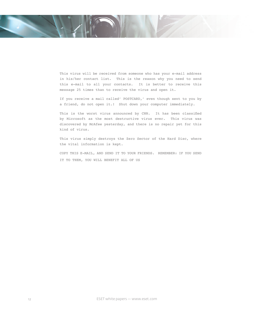

This virus will be received from someone who has your e-mail address in his/her contact list. This is the reason why you need to send this e-mail to all your contacts. It is better to receive this message 25 times than to receive the virus and open it.

If you receive a mail called' POSTCARD,' even though sent to you by a friend, do not open it.! Shut down your computer immediately.

This is the worst virus announced by CNN. It has been classified by Microsoft as the most destructive virus ever. This virus was discovered by McAfee yesterday, and there is no repair yet for this kind of virus.

This virus simply destroys the Zero Sector of the Hard Disc, where the vital information is kept.

COPY THIS E-MAIL, AND SEND IT TO YOUR FRIENDS. REMEMBER: IF YOU SEND IT TO THEM, YOU WILL BENEFIT ALL OF US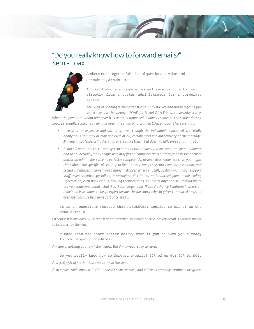#### "Do you really know how to forward emails?" Semi-Hoax



Amber = not altogether false, but of questionable value, and undoubtedly a chain letter.

A friend who is a computer expert received the following directly from a system administrator for a corporate system.

*This kind of opening is characteristic of many hoaxes and urban legends (we sometimes use the acronym FOAF, for Friend Of A Friend, to describe stories* 

*where the person to whom whatever it is actually happened is always someone the sender doesn't know personally, someone a few links down the chain of forwarders). Assumptions here are that:*

- *Invocation of expertise and authority, even though the individuals concerned are totally anonymous and may or may not exist at all, corroborates the authenticity of the message. Making it two "experts" rather than one is a nice touch, but doesn't really prove anything at all.*
- *Being a "computer expert" or a system administrator makes you an expert on spam, malware and so on. Actually, many people who may fi t the "computer expert" description in some senses and/or do administer systems perfectly competently, nevertheless know less than you might*  think about the specifics of security. In fact, in my years as a security analyst, sysadmin, and security manager, I came across many instances where IT staff, system managers, support staff, even security specialists, nevertheless distributed or forwarded poor or misleading *information, even hoax emails, proving themselves as gullible as anyone else. Remind me to tell you sometime about what Rob Rosenberger calls "False Authority Syndrome", where an individual is assumed to be an expert because he has knowledge in (often) unrelated areas, or even just because he's some sort of celebrity.*

It is an excellent message that ABSOLUTELY applies to ALL of us who send e-mails.

*Of course it is and does. I just read it on the Internet, so it must be true in every detail. That was meant to be ironic, by the way.* 

Please read the short letter below, even if you're sure you already follow proper procedures.

*I'm sure of nothing but how little I know. But I'm always ready to learn.* 

Do you really know how to forward e-mails? 50% of us do; 50% DO NOT. *And 97.6935% of statistics are made up on the spot.* 

*("I'm a poet. And I know it…" OK, it doesn't scan too well, and Milton is probably turning in his grave.*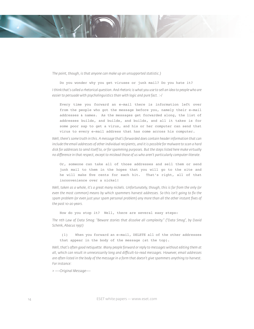*The point, though, is that anyone can make up an unsupported statistic.)*

Do you wonder why you get viruses or junk mail? Do you hate it? *I think that's called a rhetorical question. And rhetoric is what you use to sell an idea to people who are easier to persuade with psycholinguistics than with logic and pure fact. :-/*

Every time you forward an e-mail there is information left over from the people who got the message before you, namely their e-mail addresses & names. As the messages get forwarded along, the list of addresses builds, and builds, and builds, and all it takes is for some poor sap to get a virus, and his or her computer can send that virus to every e-mail address that has come across his computer.

*Well, there's some truth in this. A message that's forwarded does contain header information that can include the email addresses of other individual recipients, and it is possible for malware to scan a hard disk for addresses to send itself to, or for spamming purposes. But the steps listed here make virtually no difference in that respect, except to mislead those of us who aren't particularly computer-literate.* 

Or, someone can take all of those addresses and sell them or send junk mail to them in the hopes that you will go to the site and he will make five cents for each hit. That's right, all of that inconvenience over a nickel!

*Well, taken as a whole, it's a great many nickels. Unfortunately, though, this is far from the only (or even the most common) means by which spammers harvest addresses. So this isn't going to fix the* spam problem (or even just your spam personal problem) any more than all the other instant fixes of *the past 10-20 years.*

How do you stop it? Well, there are several easy steps:

*The 11th Law of Data Smog: "Beware stories that dissolve all complexity." ("Data Smog", by David Schenk, Abacus 1997)*

 (1) When you forward an e-mail, DELETE all of the other addresses that appear in the body of the message (at the top).

*Well, that's often good netiquette. Many people forward or reply to messages without editing them at*  all, which can result in unnecessarily long and difficult-to-read messages. However, email addresses *are often listed in the body of the message in a form that doesn't give spammers anything to harvest. For instance:*

*> —–Original Message—–*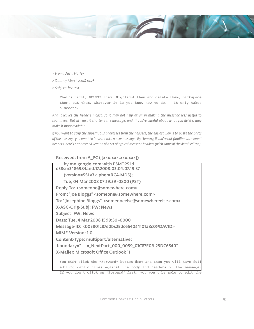

- *> From: David Harley*
- *> Sent: 07 March 2008 10:28*
- *> Subject: bcc test*

That's right, DELETE them. Highlight them and delete them, backspace them, cut them, whatever it is you know how to do. It only takes a second.

*And it leaves the headers intact, so it may not help at all in making the message less useful to spammers. But at least it shortens the message, and, if you're careful about what you delete, may make it more readable.*

*If you want to strip the superfluous addresses from the headers, the easiest way is to paste the parts of the message you want to forward into a new message. By the way, if you're not familiar with email headers, here's a shortened version of a set of typical message headers (with some of the detail edited).*

| Received: from A_PC ( [xxx.xxx.xxx.xxx]) |  |  |  |
|------------------------------------------|--|--|--|
|------------------------------------------|--|--|--|

| by mx.google.com with ESMTPS id<br>d38sm3486984and.17.2008.03.04.07.19.37              |
|----------------------------------------------------------------------------------------|
| (version=SSLv3 cipher=RC4-MD5);                                                        |
| Tue, 04 Mar 2008 07:19:39 -0800 (PST)                                                  |
| Reply-To: <someone@somewhere.com></someone@somewhere.com>                              |
| From: "Joe Bloggs" <someone@somewhere.com></someone@somewhere.com>                     |
| To: "Josephine Bloggs" <someoneelse@somewhereelse.com></someoneelse@somewhereelse.com> |
| X-ASG-Orig-Subj: FW: News                                                              |
| <b>Subject: FW: News</b>                                                               |
| Date: Tue, 4 Mar 2008 15:19:30 -0000                                                   |
| Message-ID: <005801c87e0b\$25dc6540\$4101a8c0@DAVID>                                   |
| <b>MIME-Version: 1.0</b>                                                               |
| Content-Type: multipart/alternative;                                                   |
| boundary="--=_NextPart_000_0059_01C87E0B.25DC6540"                                     |
| X-Mailer: Microsoft Office Outlook 11                                                  |
| You MUST click the "Forward" button first and then you will have full                  |
| editing capabilities against the body and headers of the message.                      |
| If you don't click on "Forward" first, you won't be able to edit the                   |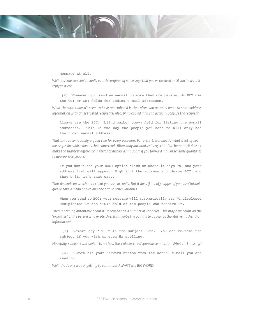message at all.

*Well, it's true you can't usually edit the original of a message that you've received until you forward it, reply to it etc.*

 (2) Whenever you send an e-mail to more than one person, do NOT use the To: or Cc: fields for adding e-mail addresses.

*What the writer doesn't seem to have remembered is that often you actually want to share address information with other trusted recipients! Also, blind copied mail can actually confuse the recipient.*

Always use the BCC: (blind carbon copy) field for listing the e-mail addresses. This is the way the people you send to will only see their own e-mail address.

*That isn't automatically a good rule for every occasion. For a start, it's exactly what a lot of spam messages do, which means that some crude fi lters may automatically reject it. Furthermore, it doesn't make the slightest difference in terms of discouraging spam if you forward mail in sensible quantities to appropriate people.*

If you don't see your BCC: option click on where it says To: and your address list will appear. Highlight the address and choose BCC: and that's it, it's that easy.

*That depends on which mail client you use, actually. But it does (kind of) happen if you use Outlook, give or take a menu or two and one or two other variables.*

When you send to BCC: your message will automatically say "Undisclosed Recipients" in the "TO:" field of the people who receive it.

*There's nothing automatic about it. It depends on a number of variables. This may cast doubt on the "expertise" of the person who wrote this. But maybe the point is to appear authoritative, rather than informative?*

 (3) Remove any "FW :" in the subject line. You can re-name the subject if you wish or even fix spelling.

*Hopefully, someone will explain to me how this reduces virus/spam dissemination. What am I missing?*

 (4) ALWAYS hit your Forward button from the actual e-mail you are reading.

*Well, that's one way of getting to edit it, but ALWAYS is a BIG WORD.*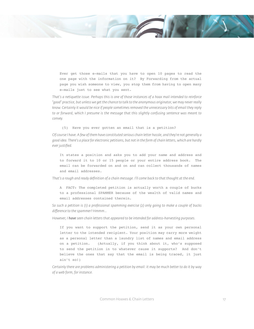Ever get those e-mails that you have to open 10 pages to read the one page with the information on it? By Forwarding from the actual page you wish someone to view, you stop them from having to open many e-mails just to see what you sent.

*That's a netiquette issue. Perhaps this is one of those instances of a hoax mail intended to reinforce "good" practice, but unless we get the chance to talk to the anonymous originator, we may never really know. Certainly it would be nice if people sometimes removed the unnecessary bits of email they reply to or forward, which I presume is the message that this slightly confusing sentence was meant to convey.*

(5) Have you ever gotten an email that is a petition?

*Of course I have. A few of them have constituted serious chain letter hassle, and they're not generally a good idea. There's a place for electronic petitions, but not in the form of chain letters, which are hardly*   $e$ ver justified.

It states a position and asks you to add your name and address and to forward it to 10 or 15 people or your entire address book. The email can be forwarded on and on and can collect thousands of names and email addresses.

That's a rough and ready definition of a chain message. I'll come back to that thought at the end.

A FACT: The completed petition is actually worth a couple of bucks to a professional SPAMMER because of the wealth of valid names and email addresses contained therein.

*So such a petition is (1) a professional spamming exercise (2) only going to make a couple of bucks*  difference to the spammer? Hmmm...

*However, I have seen chain letters that appeared to be intended for address-harvesting purposes.*

If you want to support the petition, send it as your own personal letter to the intended recipient. Your position may carry more weight as a personal letter than a laundry list of names and email address on a petition. (Actually, if you think about it, who's supposed to send the petition in to whatever cause it supports? And don't believe the ones that say that the email is being traced, it just ain't so!)

*Certainly there are problems administering a petition by email: it may be much better to do it by way of a web form, for instance.*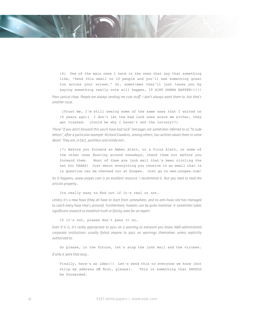(6) One of the main ones I hate is the ones that say that something like, "Send this email to 10 people and you'll see something great run across your screen." Or, sometimes they'll just tease you by saying something really cute will happen. IT AINT GONNA HAPPEN!!!!!

*Poor cynical chap. People are always sending me cute stuff. I don't always want them to, but that's another issue.*

 (Trust me, I'm still seeing some of the same ones that I waited on 10 years ago!) I don't let the bad luck ones scare me either, they get trashed. (Could be why I haven't won the lottery??)

*Those "if you don't forward this you'll have bad luck" messages are sometimes referred to as "St Jude letters", after a particular example: Richard Dawkins, among others, has written about them in some detail. They are, in fact, pointless and mildly evil…*

(7) Before you forward an Amber Alert, or a Virus Alert, or some of the other ones floating around nowadays, check them out before you forward them. Most of them are junk mail that's been circling the net for YEARS! Just about everything you receive in an email that is in question can be checked out at Snopes. Just go to www.snopes.com/

*As it happens, www.snopes.com is an excellent resource. I recommend it. But you need to read the articles properly…*

Its really easy to find out if it's real or not.

*Unless it's a new hoax (they all have to start from somewhere, and no anti-hoax site has managed to catch every hoax that's around). Furthermore, hoaxers can be quite inventive: it sometimes takes signifi cant research to establish truth or falsity, even for an expert.*

If it's not, please don't pass it on.

*Even if it is, it's rarely appropriate to pass on a warning to everyone you know. Well-administered corporate institutions usually forbid anyone to pass on warnings themselves unless explicitly authorized to.*

So please, in the future, let's stop the junk mail and the viruses. *If only it were that easy…*

Finally, here's an idea!!! Let's send this to everyone we know (but strip my address off first, please). This is something that SHOULD be forwarded.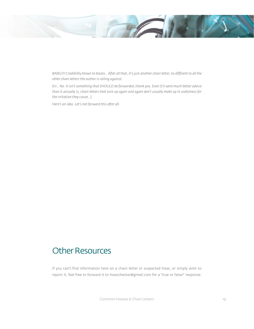

*BANG!!!! Credibility blown to blazes... After all that, it's just another chain letter, no different to all the other chain letters the author is railing against.*

*Err… No. It isn't something that SHOULD be forwarded, thank you. Even if it were much better advice than it actually is, chain letters that turn up again and again don't usually make up in usefulness for the irritation they cause…]*

*Here's an idea. Let's not forward this after all.*

#### Other Resources

If you can't find information here on a chain letter or suspected hoax, or simply wish to report it, feel free to forward it to hoaxchecker@gmail.com for a "true or false?" response.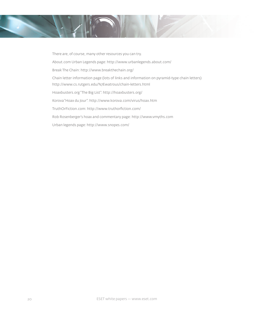

There are, of course, many other resources you can try. About.com Urban Legends page: http://www.urbanlegends.about.com/ Break The Chain: http://www.breakthechain.org/ Chain letter information page (lots of links and information on pyramid-type chain letters) http://www.cs.rutgers.edu/%7Ewatrous/chain-letters.html Hoaxbusters.org "The Big List": http://hoaxbusters.org/ Korova "Hoax du Jour": http://www.korova.com/virus/hoax.htm TruthOrFiction.com: http://www.truthorfiction.com/ Rob Rosenberger's hoax and commentary page: http://www.vmyths.com Urban legends page: http://www.snopes.com/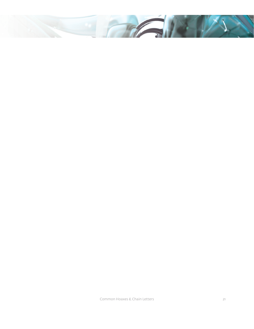